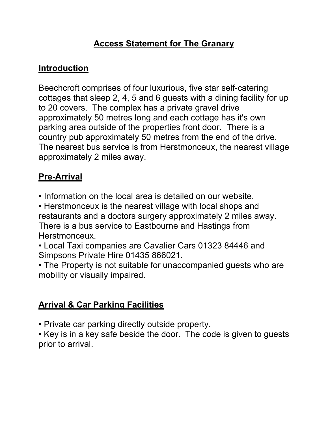## **Access Statement for The Granary**

# **Introduction**

Beechcroft comprises of four luxurious, five star self-catering cottages that sleep 2, 4, 5 and 6 guests with a dining facility for up to 20 covers. The complex has a private gravel drive approximately 50 metres long and each cottage has it's own parking area outside of the properties front door. There is a country pub approximately 50 metres from the end of the drive. The nearest bus service is from Herstmonceux, the nearest village approximately 2 miles away.

# **Pre-Arrival**

• Information on the local area is detailed on our website.

• Herstmonceux is the nearest village with local shops and restaurants and a doctors surgery approximately 2 miles away. There is a bus service to Eastbourne and Hastings from Herstmonceux.

• Local Taxi companies are Cavalier Cars 01323 84446 and Simpsons Private Hire 01435 866021.

• The Property is not suitable for unaccompanied guests who are mobility or visually impaired.

# **Arrival & Car Parking Facilities**

• Private car parking directly outside property.

• Key is in a key safe beside the door. The code is given to guests prior to arrival.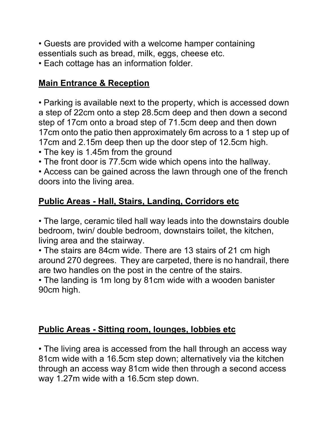- Guests are provided with a welcome hamper containing essentials such as bread, milk, eggs, cheese etc.
- Each cottage has an information folder.

## **Main Entrance & Reception**

• Parking is available next to the property, which is accessed down a step of 22cm onto a step 28.5cm deep and then down a second step of 17cm onto a broad step of 71.5cm deep and then down 17cm onto the patio then approximately 6m across to a 1 step up of 17cm and 2.15m deep then up the door step of 12.5cm high.

- The key is 1.45m from the ground
- The front door is 77.5cm wide which opens into the hallway.

• Access can be gained across the lawn through one of the french doors into the living area.

## **Public Areas - Hall, Stairs, Landing, Corridors etc**

• The large, ceramic tiled hall way leads into the downstairs double bedroom, twin/ double bedroom, downstairs toilet, the kitchen, living area and the stairway.

• The stairs are 84cm wide. There are 13 stairs of 21 cm high around 270 degrees. They are carpeted, there is no handrail, there are two handles on the post in the centre of the stairs.

• The landing is 1m long by 81cm wide with a wooden banister 90cm high.

## **Public Areas - Sitting room, lounges, lobbies etc**

• The living area is accessed from the hall through an access way 81cm wide with a 16.5cm step down; alternatively via the kitchen through an access way 81cm wide then through a second access way 1.27m wide with a 16.5cm step down.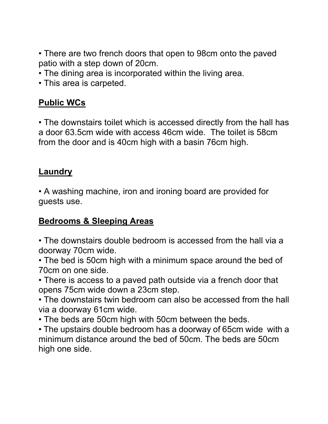• There are two french doors that open to 98cm onto the paved patio with a step down of 20cm.

- The dining area is incorporated within the living area.
- This area is carpeted.

## **Public WCs**

• The downstairs toilet which is accessed directly from the hall has a door 63.5cm wide with access 46cm wide. The toilet is 58cm from the door and is 40cm high with a basin 76cm high.

#### **Laundry**

• A washing machine, iron and ironing board are provided for guests use.

## **Bedrooms & Sleeping Areas**

• The downstairs double bedroom is accessed from the hall via a doorway 70cm wide.

• The bed is 50cm high with a minimum space around the bed of 70cm on one side.

• There is access to a paved path outside via a french door that opens 75cm wide down a 23cm step.

• The downstairs twin bedroom can also be accessed from the hall via a doorway 61cm wide.

• The beds are 50cm high with 50cm between the beds.

• The upstairs double bedroom has a doorway of 65cm wide with a minimum distance around the bed of 50cm. The beds are 50cm high one side.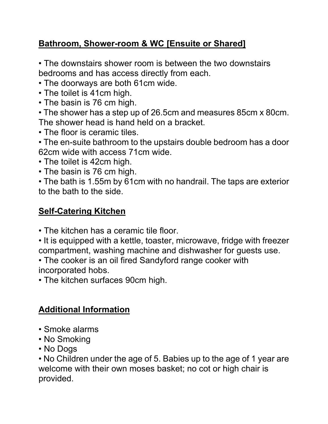## **Bathroom, Shower-room & WC [Ensuite or Shared]**

• The downstairs shower room is between the two downstairs bedrooms and has access directly from each.

- The doorways are both 61cm wide.
- The toilet is 41cm high.
- The basin is 76 cm high.

• The shower has a step up of 26.5cm and measures 85cm x 80cm. The shower head is hand held on a bracket.

• The floor is ceramic tiles.

• The en-suite bathroom to the upstairs double bedroom has a door 62cm wide with access 71cm wide.

- The toilet is 42cm high.
- The basin is 76 cm high.

• The bath is 1.55m by 61cm with no handrail. The taps are exterior to the bath to the side.

## **Self-Catering Kitchen**

- The kitchen has a ceramic tile floor.
- It is equipped with a kettle, toaster, microwave, fridge with freezer compartment, washing machine and dishwasher for guests use.

• The cooker is an oil fired Sandyford range cooker with incorporated hobs.

• The kitchen surfaces 90cm high.

# **Additional Information**

- Smoke alarms
- No Smoking
- No Dogs

• No Children under the age of 5. Babies up to the age of 1 year are welcome with their own moses basket; no cot or high chair is provided.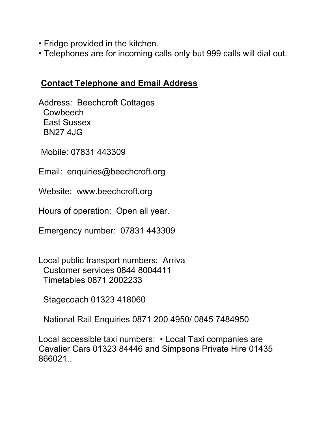- Fridge provided in the kitchen.
- Telephones are for incoming calls only but 999 calls will dial out.

### **Contact Telephone and Email Address**

Address: Beechcroft Cottages **Cowbeech**  East Sussex BN27 4JG

Mobile: 07831 443309

Email: enquiries@beechcroft.org

Website: www.beechcroft.org

Hours of operation: Open all year.

Emergency number: 07831 443309

Local public transport numbers: Arriva Customer services 0844 8004411 Timetables 0871 2002233

Stagecoach 01323 418060

National Rail Enquiries 0871 200 4950/ 0845 7484950

Local accessible taxi numbers: • Local Taxi companies are Cavalier Cars 01323 84446 and Simpsons Private Hire 01435 866021..